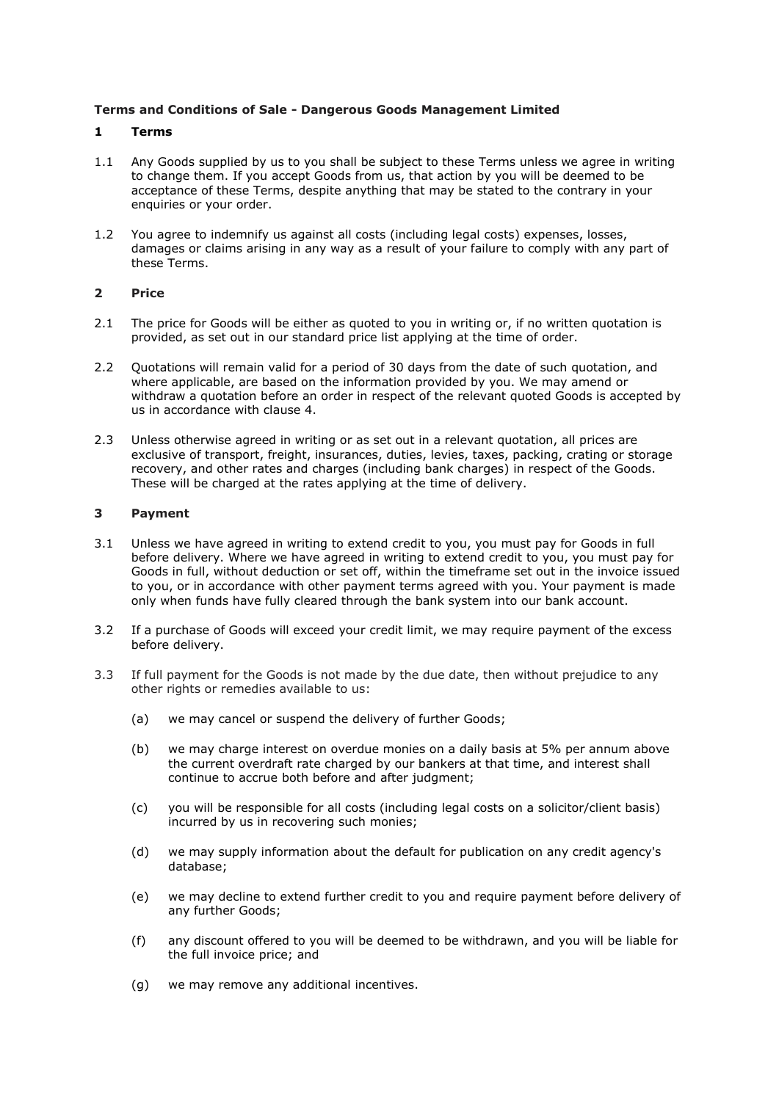### **Terms and Conditions of Sale - Dangerous Goods Management Limited**

### **1 Terms**

- 1.1 Any Goods supplied by us to you shall be subject to these Terms unless we agree in writing to change them. If you accept Goods from us, that action by you will be deemed to be acceptance of these Terms, despite anything that may be stated to the contrary in your enquiries or your order.
- 1.2 You agree to indemnify us against all costs (including legal costs) expenses, losses, damages or claims arising in any way as a result of your failure to comply with any part of these Terms.

## **2 Price**

- 2.1 The price for Goods will be either as quoted to you in writing or, if no written quotation is provided, as set out in our standard price list applying at the time of order.
- 2.2 Quotations will remain valid for a period of 30 days from the date of such quotation, and where applicable, are based on the information provided by you. We may amend or withdraw a quotation before an order in respect of the relevant quoted Goods is accepted by us in accordance with clause 4.
- 2.3 Unless otherwise agreed in writing or as set out in a relevant quotation, all prices are exclusive of transport, freight, insurances, duties, levies, taxes, packing, crating or storage recovery, and other rates and charges (including bank charges) in respect of the Goods. These will be charged at the rates applying at the time of delivery.

## **3 Payment**

- 3.1 Unless we have agreed in writing to extend credit to you, you must pay for Goods in full before delivery. Where we have agreed in writing to extend credit to you, you must pay for Goods in full, without deduction or set off, within the timeframe set out in the invoice issued to you, or in accordance with other payment terms agreed with you. Your payment is made only when funds have fully cleared through the bank system into our bank account.
- 3.2 If a purchase of Goods will exceed your credit limit, we may require payment of the excess before delivery.
- 3.3 If full payment for the Goods is not made by the due date, then without prejudice to any other rights or remedies available to us:
	- (a) we may cancel or suspend the delivery of further Goods;
	- (b) we may charge interest on overdue monies on a daily basis at 5% per annum above the current overdraft rate charged by our bankers at that time, and interest shall continue to accrue both before and after judgment;
	- (c) you will be responsible for all costs (including legal costs on a solicitor/client basis) incurred by us in recovering such monies;
	- (d) we may supply information about the default for publication on any credit agency's database;
	- (e) we may decline to extend further credit to you and require payment before delivery of any further Goods;
	- (f) any discount offered to you will be deemed to be withdrawn, and you will be liable for the full invoice price; and
	- (g) we may remove any additional incentives.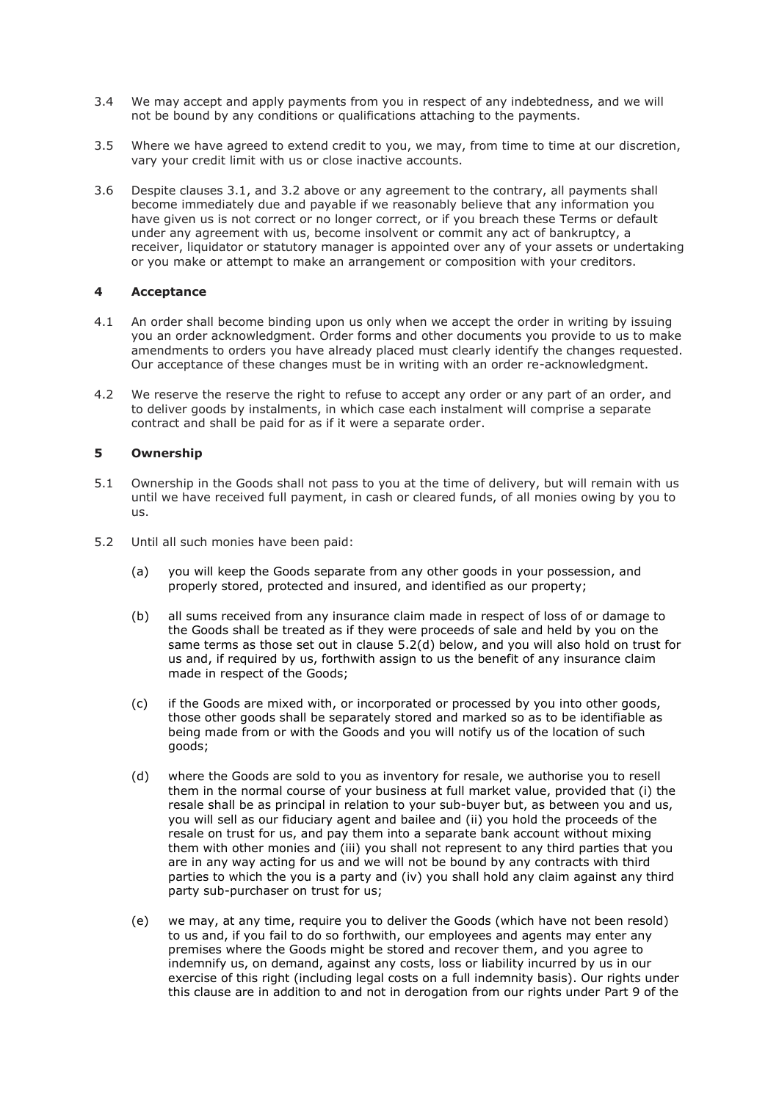- 3.4 We may accept and apply payments from you in respect of any indebtedness, and we will not be bound by any conditions or qualifications attaching to the payments.
- 3.5 Where we have agreed to extend credit to you, we may, from time to time at our discretion, vary your credit limit with us or close inactive accounts.
- 3.6 Despite clauses 3.1, and 3.2 above or any agreement to the contrary, all payments shall become immediately due and payable if we reasonably believe that any information you have given us is not correct or no longer correct, or if you breach these Terms or default under any agreement with us, become insolvent or commit any act of bankruptcy, a receiver, liquidator or statutory manager is appointed over any of your assets or undertaking or you make or attempt to make an arrangement or composition with your creditors.

### **4 Acceptance**

- 4.1 An order shall become binding upon us only when we accept the order in writing by issuing you an order acknowledgment. Order forms and other documents you provide to us to make amendments to orders you have already placed must clearly identify the changes requested. Our acceptance of these changes must be in writing with an order re-acknowledgment.
- 4.2 We reserve the reserve the right to refuse to accept any order or any part of an order, and to deliver goods by instalments, in which case each instalment will comprise a separate contract and shall be paid for as if it were a separate order.

### **5 Ownership**

- 5.1 Ownership in the Goods shall not pass to you at the time of delivery, but will remain with us until we have received full payment, in cash or cleared funds, of all monies owing by you to us.
- 5.2 Until all such monies have been paid:
	- (a) you will keep the Goods separate from any other goods in your possession, and properly stored, protected and insured, and identified as our property;
	- (b) all sums received from any insurance claim made in respect of loss of or damage to the Goods shall be treated as if they were proceeds of sale and held by you on the same terms as those set out in clause 5.2(d) below, and you will also hold on trust for us and, if required by us, forthwith assign to us the benefit of any insurance claim made in respect of the Goods;
	- (c) if the Goods are mixed with, or incorporated or processed by you into other goods, those other goods shall be separately stored and marked so as to be identifiable as being made from or with the Goods and you will notify us of the location of such goods;
	- (d) where the Goods are sold to you as inventory for resale, we authorise you to resell them in the normal course of your business at full market value, provided that (i) the resale shall be as principal in relation to your sub-buyer but, as between you and us, you will sell as our fiduciary agent and bailee and (ii) you hold the proceeds of the resale on trust for us, and pay them into a separate bank account without mixing them with other monies and (iii) you shall not represent to any third parties that you are in any way acting for us and we will not be bound by any contracts with third parties to which the you is a party and (iv) you shall hold any claim against any third party sub-purchaser on trust for us;
	- (e) we may, at any time, require you to deliver the Goods (which have not been resold) to us and, if you fail to do so forthwith, our employees and agents may enter any premises where the Goods might be stored and recover them, and you agree to indemnify us, on demand, against any costs, loss or liability incurred by us in our exercise of this right (including legal costs on a full indemnity basis). Our rights under this clause are in addition to and not in derogation from our rights under Part 9 of the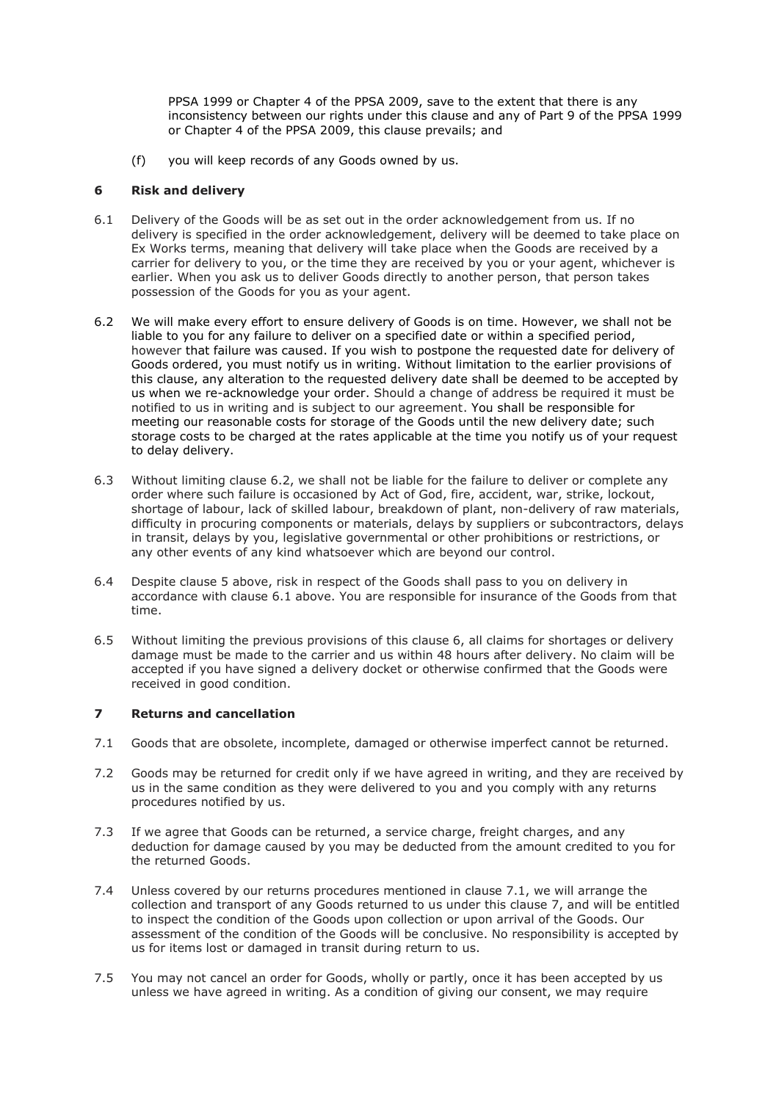PPSA 1999 or Chapter 4 of the PPSA 2009, save to the extent that there is any inconsistency between our rights under this clause and any of Part 9 of the PPSA 1999 or Chapter 4 of the PPSA 2009, this clause prevails; and

(f) you will keep records of any Goods owned by us.

### **6 Risk and delivery**

- 6.1 Delivery of the Goods will be as set out in the order acknowledgement from us. If no delivery is specified in the order acknowledgement, delivery will be deemed to take place on Ex Works terms, meaning that delivery will take place when the Goods are received by a carrier for delivery to you, or the time they are received by you or your agent, whichever is earlier. When you ask us to deliver Goods directly to another person, that person takes possession of the Goods for you as your agent.
- 6.2 We will make every effort to ensure delivery of Goods is on time. However, we shall not be liable to you for any failure to deliver on a specified date or within a specified period, however that failure was caused. If you wish to postpone the requested date for delivery of Goods ordered, you must notify us in writing. Without limitation to the earlier provisions of this clause, any alteration to the requested delivery date shall be deemed to be accepted by us when we re-acknowledge your order. Should a change of address be required it must be notified to us in writing and is subject to our agreement. You shall be responsible for meeting our reasonable costs for storage of the Goods until the new delivery date; such storage costs to be charged at the rates applicable at the time you notify us of your request to delay delivery.
- 6.3 Without limiting clause 6.2, we shall not be liable for the failure to deliver or complete any order where such failure is occasioned by Act of God, fire, accident, war, strike, lockout, shortage of labour, lack of skilled labour, breakdown of plant, non-delivery of raw materials, difficulty in procuring components or materials, delays by suppliers or subcontractors, delays in transit, delays by you, legislative governmental or other prohibitions or restrictions, or any other events of any kind whatsoever which are beyond our control.
- 6.4 Despite clause 5 above, risk in respect of the Goods shall pass to you on delivery in accordance with clause 6.1 above. You are responsible for insurance of the Goods from that time.
- 6.5 Without limiting the previous provisions of this clause 6, all claims for shortages or delivery damage must be made to the carrier and us within 48 hours after delivery. No claim will be accepted if you have signed a delivery docket or otherwise confirmed that the Goods were received in good condition.

# **7 Returns and cancellation**

- 7.1 Goods that are obsolete, incomplete, damaged or otherwise imperfect cannot be returned.
- 7.2 Goods may be returned for credit only if we have agreed in writing, and they are received by us in the same condition as they were delivered to you and you comply with any returns procedures notified by us.
- 7.3 If we agree that Goods can be returned, a service charge, freight charges, and any deduction for damage caused by you may be deducted from the amount credited to you for the returned Goods.
- 7.4 Unless covered by our returns procedures mentioned in clause 7.1, we will arrange the collection and transport of any Goods returned to us under this clause 7, and will be entitled to inspect the condition of the Goods upon collection or upon arrival of the Goods. Our assessment of the condition of the Goods will be conclusive. No responsibility is accepted by us for items lost or damaged in transit during return to us.
- 7.5 You may not cancel an order for Goods, wholly or partly, once it has been accepted by us unless we have agreed in writing. As a condition of giving our consent, we may require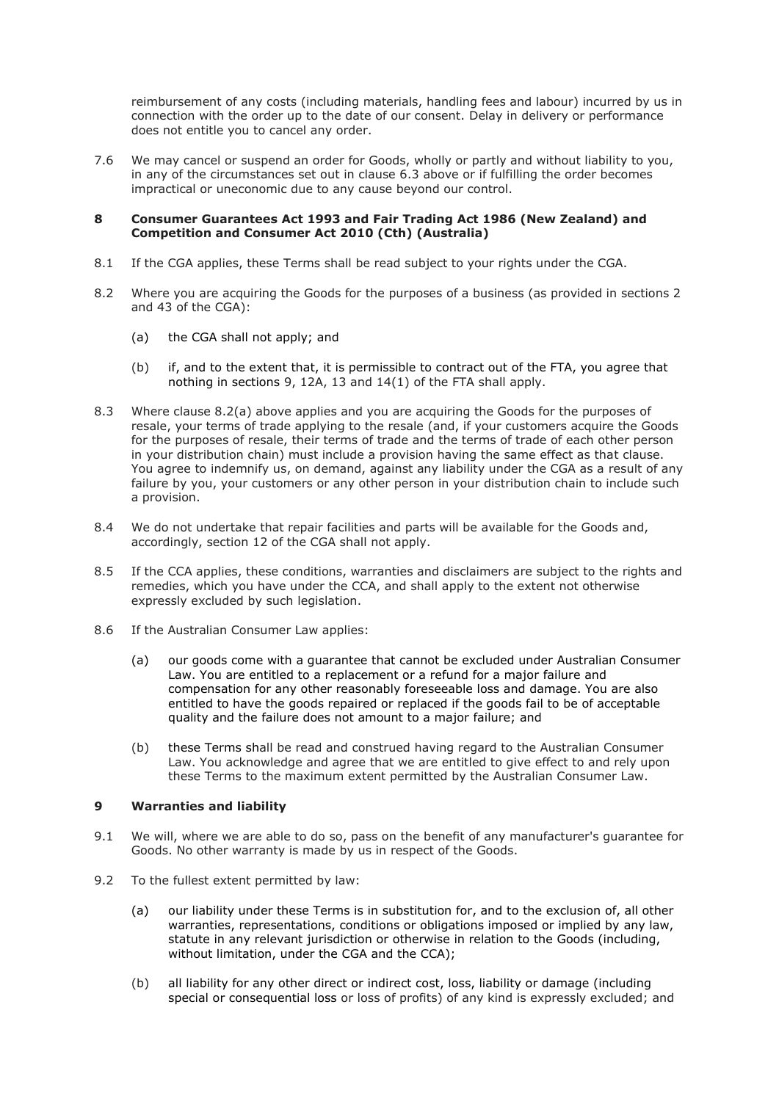reimbursement of any costs (including materials, handling fees and labour) incurred by us in connection with the order up to the date of our consent. Delay in delivery or performance does not entitle you to cancel any order.

7.6 We may cancel or suspend an order for Goods, wholly or partly and without liability to you, in any of the circumstances set out in clause 6.3 above or if fulfilling the order becomes impractical or uneconomic due to any cause beyond our control.

### **8 Consumer Guarantees Act 1993 and Fair Trading Act 1986 (New Zealand) and Competition and Consumer Act 2010 (Cth) (Australia)**

- 8.1 If the CGA applies, these Terms shall be read subject to your rights under the CGA.
- 8.2 Where you are acquiring the Goods for the purposes of a business (as provided in sections 2 and 43 of the CGA):
	- (a) the CGA shall not apply; and
	- (b) if, and to the extent that, it is permissible to contract out of the FTA, you agree that nothing in sections 9, 12A, 13 and 14(1) of the FTA shall apply.
- 8.3 Where clause 8.2(a) above applies and you are acquiring the Goods for the purposes of resale, your terms of trade applying to the resale (and, if your customers acquire the Goods for the purposes of resale, their terms of trade and the terms of trade of each other person in your distribution chain) must include a provision having the same effect as that clause. You agree to indemnify us, on demand, against any liability under the CGA as a result of any failure by you, your customers or any other person in your distribution chain to include such a provision.
- 8.4 We do not undertake that repair facilities and parts will be available for the Goods and, accordingly, section 12 of the CGA shall not apply.
- 8.5 If the CCA applies, these conditions, warranties and disclaimers are subject to the rights and remedies, which you have under the CCA, and shall apply to the extent not otherwise expressly excluded by such legislation.
- 8.6 If the Australian Consumer Law applies:
	- (a) our goods come with a guarantee that cannot be excluded under Australian Consumer Law. You are entitled to a replacement or a refund for a major failure and compensation for any other reasonably foreseeable loss and damage. You are also entitled to have the goods repaired or replaced if the goods fail to be of acceptable quality and the failure does not amount to a major failure; and
	- (b) these Terms shall be read and construed having regard to the Australian Consumer Law. You acknowledge and agree that we are entitled to give effect to and rely upon these Terms to the maximum extent permitted by the Australian Consumer Law.

### **9 Warranties and liability**

- 9.1 We will, where we are able to do so, pass on the benefit of any manufacturer's guarantee for Goods. No other warranty is made by us in respect of the Goods.
- 9.2 To the fullest extent permitted by law:
	- (a) our liability under these Terms is in substitution for, and to the exclusion of, all other warranties, representations, conditions or obligations imposed or implied by any law, statute in any relevant jurisdiction or otherwise in relation to the Goods (including, without limitation, under the CGA and the CCA);
	- (b) all liability for any other direct or indirect cost, loss, liability or damage (including special or consequential loss or loss of profits) of any kind is expressly excluded; and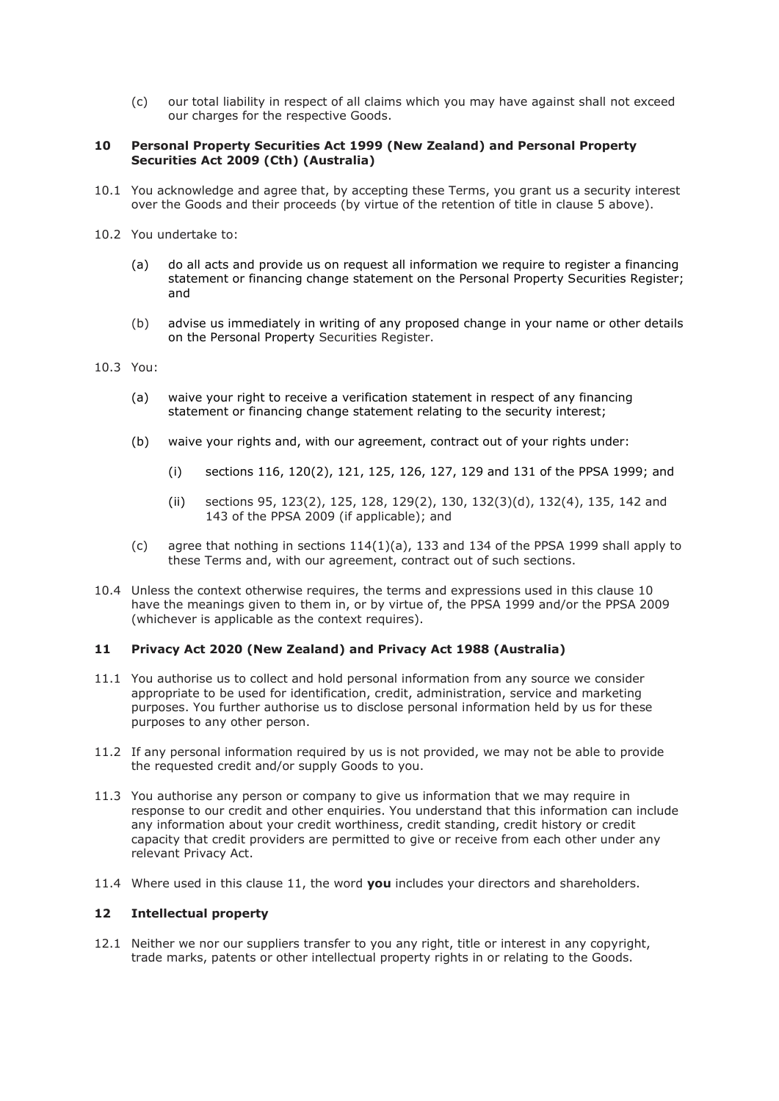(c) our total liability in respect of all claims which you may have against shall not exceed our charges for the respective Goods.

## **10 Personal Property Securities Act 1999 (New Zealand) and Personal Property Securities Act 2009 (Cth) (Australia)**

- 10.1 You acknowledge and agree that, by accepting these Terms, you grant us a security interest over the Goods and their proceeds (by virtue of the retention of title in clause 5 above).
- 10.2 You undertake to:
	- (a) do all acts and provide us on request all information we require to register a financing statement or financing change statement on the Personal Property Securities Register; and
	- (b) advise us immediately in writing of any proposed change in your name or other details on the Personal Property Securities Register.
- 10.3 You:
	- (a) waive your right to receive a verification statement in respect of any financing statement or financing change statement relating to the security interest;
	- (b) waive your rights and, with our agreement, contract out of your rights under:
		- (i) sections 116, 120(2), 121, 125, 126, 127, 129 and 131 of the PPSA 1999; and
		- (ii) sections 95, 123(2), 125, 128, 129(2), 130, 132(3)(d), 132(4), 135, 142 and 143 of the PPSA 2009 (if applicable); and
	- (c) agree that nothing in sections  $114(1)(a)$ , 133 and 134 of the PPSA 1999 shall apply to these Terms and, with our agreement, contract out of such sections.
- 10.4 Unless the context otherwise requires, the terms and expressions used in this clause 10 have the meanings given to them in, or by virtue of, the PPSA 1999 and/or the PPSA 2009 (whichever is applicable as the context requires).

### **11 Privacy Act 2020 (New Zealand) and Privacy Act 1988 (Australia)**

- 11.1 You authorise us to collect and hold personal information from any source we consider appropriate to be used for identification, credit, administration, service and marketing purposes. You further authorise us to disclose personal information held by us for these purposes to any other person.
- 11.2 If any personal information required by us is not provided, we may not be able to provide the requested credit and/or supply Goods to you.
- 11.3 You authorise any person or company to give us information that we may require in response to our credit and other enquiries. You understand that this information can include any information about your credit worthiness, credit standing, credit history or credit capacity that credit providers are permitted to give or receive from each other under any relevant Privacy Act.
- 11.4 Where used in this clause 11, the word **you** includes your directors and shareholders.

#### **12 Intellectual property**

12.1 Neither we nor our suppliers transfer to you any right, title or interest in any copyright, trade marks, patents or other intellectual property rights in or relating to the Goods.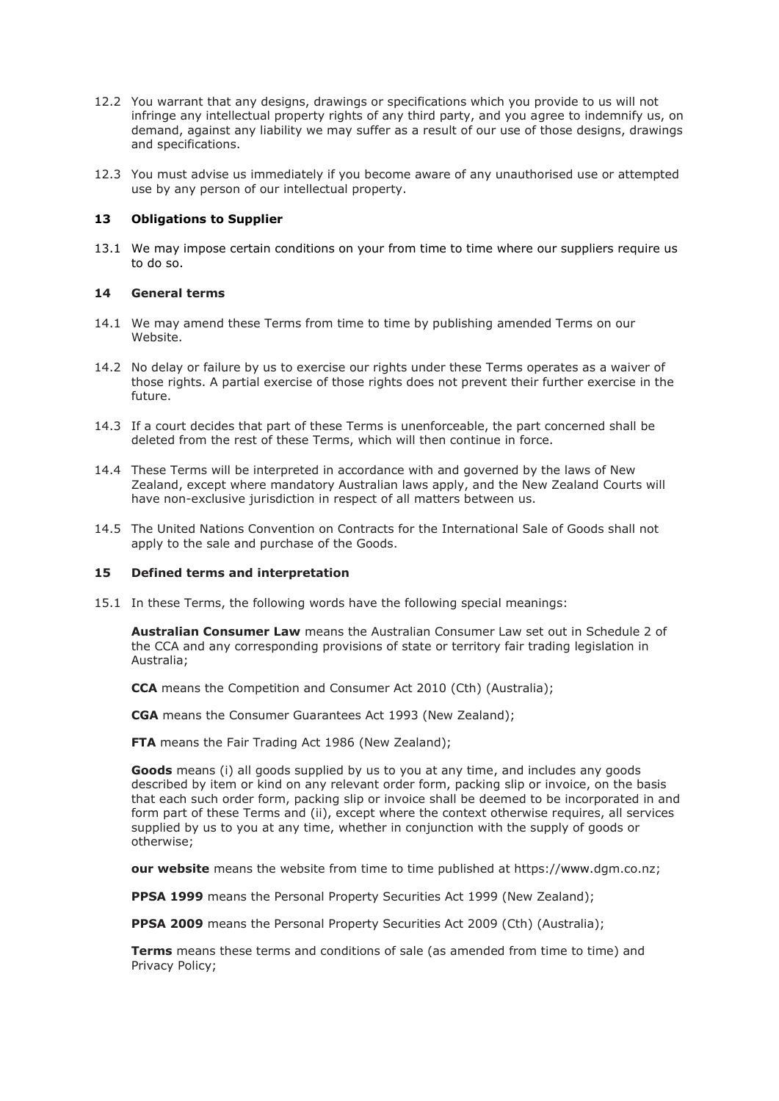- 12.2 You warrant that any designs, drawings or specifications which you provide to us will not infringe any intellectual property rights of any third party, and you agree to indemnify us, on demand, against any liability we may suffer as a result of our use of those designs, drawings and specifications.
- 12.3 You must advise us immediately if you become aware of any unauthorised use or attempted use by any person of our intellectual property.

#### **13 Obligations to Supplier**

13.1 We may impose certain conditions on your from time to time where our suppliers require us to do so.

#### **14 General terms**

- 14.1 We may amend these Terms from time to time by publishing amended Terms on our Website.
- 14.2 No delay or failure by us to exercise our rights under these Terms operates as a waiver of those rights. A partial exercise of those rights does not prevent their further exercise in the future.
- 14.3 If a court decides that part of these Terms is unenforceable, the part concerned shall be deleted from the rest of these Terms, which will then continue in force.
- 14.4 These Terms will be interpreted in accordance with and governed by the laws of New Zealand, except where mandatory Australian laws apply, and the New Zealand Courts will have non-exclusive jurisdiction in respect of all matters between us.
- 14.5 The United Nations Convention on Contracts for the International Sale of Goods shall not apply to the sale and purchase of the Goods.

#### **15 Defined terms and interpretation**

15.1 In these Terms, the following words have the following special meanings:

**Australian Consumer Law** means the Australian Consumer Law set out in Schedule 2 of the CCA and any corresponding provisions of state or territory fair trading legislation in Australia;

**CCA** means the Competition and Consumer Act 2010 (Cth) (Australia);

**CGA** means the Consumer Guarantees Act 1993 (New Zealand);

**FTA** means the Fair Trading Act 1986 (New Zealand);

**Goods** means (i) all goods supplied by us to you at any time, and includes any goods described by item or kind on any relevant order form, packing slip or invoice, on the basis that each such order form, packing slip or invoice shall be deemed to be incorporated in and form part of these Terms and (ii), except where the context otherwise requires, all services supplied by us to you at any time, whether in conjunction with the supply of goods or otherwise;

**our website** means the website from time to time published at https://www.dgm.co.nz;

**PPSA 1999** means the Personal Property Securities Act 1999 (New Zealand);

**PPSA 2009** means the Personal Property Securities Act 2009 (Cth) (Australia);

**Terms** means these terms and conditions of sale (as amended from time to time) and Privacy Policy;